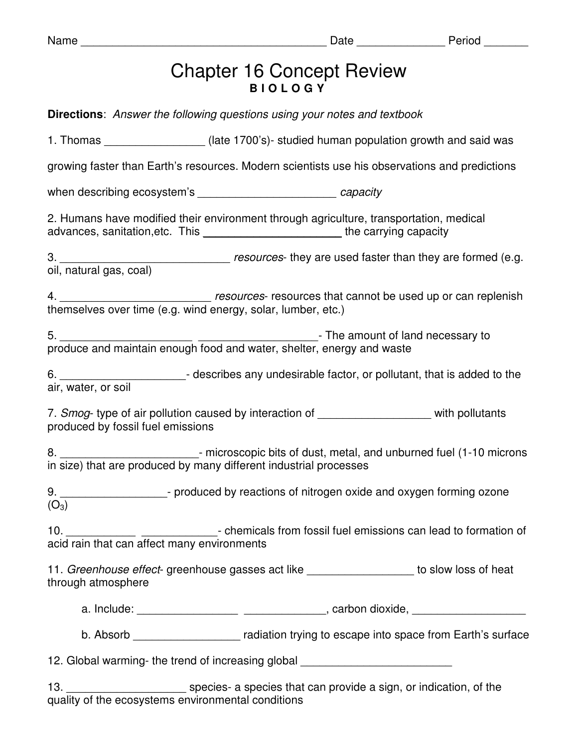| am<br>u |  |
|---------|--|
|---------|--|

## Chapter 16 Concept Review **B I O L O G Y**

|                                   | <b>Directions:</b> Answer the following questions using your notes and textbook                                                                                            |                                                                                                                                                                   |
|-----------------------------------|----------------------------------------------------------------------------------------------------------------------------------------------------------------------------|-------------------------------------------------------------------------------------------------------------------------------------------------------------------|
|                                   |                                                                                                                                                                            | 1. Thomas ___________________(late 1700's)- studied human population growth and said was                                                                          |
|                                   |                                                                                                                                                                            | growing faster than Earth's resources. Modern scientists use his observations and predictions                                                                     |
|                                   | when describing ecosystem's ______________________________ capacity                                                                                                        |                                                                                                                                                                   |
|                                   | 2. Humans have modified their environment through agriculture, transportation, medical<br>advances, sanitation, etc. This ___________________________the carrying capacity |                                                                                                                                                                   |
|                                   |                                                                                                                                                                            |                                                                                                                                                                   |
|                                   |                                                                                                                                                                            |                                                                                                                                                                   |
|                                   |                                                                                                                                                                            |                                                                                                                                                                   |
|                                   |                                                                                                                                                                            | 6. __________________________- describes any undesirable factor, or pollutant, that is added to the air, water, or soil                                           |
| produced by fossil fuel emissions |                                                                                                                                                                            | 7. Smog- type of air pollution caused by interaction of ____________________ with pollutants                                                                      |
|                                   |                                                                                                                                                                            | 8. __________________________- microscopic bits of dust, metal, and unburned fuel (1-10 microns in size) that are produced by many different industrial processes |
| $(O_3)$                           |                                                                                                                                                                            | 9. _______________________- produced by reactions of nitrogen oxide and oxygen forming ozone                                                                      |
|                                   |                                                                                                                                                                            | 10. 10. 10. The micals from fossil fuel emissions can lead to formation of acid rain that can affect many environments                                            |
| through atmosphere                |                                                                                                                                                                            | 11. Greenhouse effect- greenhouse gasses act like __________________ to slow loss of heat                                                                         |
|                                   |                                                                                                                                                                            |                                                                                                                                                                   |
|                                   |                                                                                                                                                                            | b. Absorb _______________________ radiation trying to escape into space from Earth's surface                                                                      |
|                                   | 12. Global warming- the trend of increasing global _____________________________                                                                                           |                                                                                                                                                                   |
|                                   |                                                                                                                                                                            |                                                                                                                                                                   |

quality of the ecosystems environmental conditions